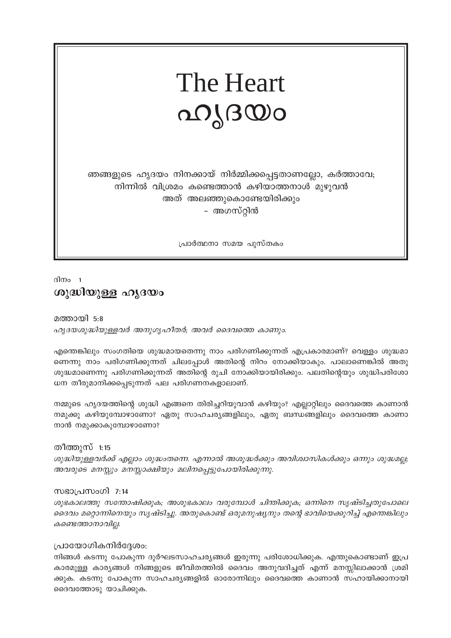# The Heart ഹ്യദയം

ഞങ്ങളുടെ ഹൃദയം നിനക്കായ് നിർമ്മിക്കപ്പെട്ടതാണല്ലോ, കർത്താവേ; നിന്നിൽ വിശ്രമം കണ്ടെത്താൻ കഴിയാത്തനാൾ മുഴുവൻ അത് അലഞ്ഞുകൊണ്ടേയിരിക്കും - അഗസ്റ്റിൻ

പ്രാർത്ഥനാ സമയ പുസ്തകം

ദിനം 1 ശുദ്ധിയുള്ള ഹൃദയം

മത്തായി 5:8 ഹൃദയശുദ്ധിയുള്ളവർ അനുഗൃഹീതർ; അവർ ദൈവത്തെ കാണും.

എന്തെങ്കിലും സംഗതിയെ ശുദ്ധമായതെന്നു നാം പരിഗണിക്കുന്നത് എപ്രകാരമാണ്? വെള്ളം ശുദ്ധമാ ണെന്നു നാം പരിഗണിക്കുന്നത് ചിലപ്പോൾ അതിന്റെ നിറം നോക്കിയാകും. പാലാണെങ്കിൽ അതു ശുദ്ധമാണെന്നു പരിഗണിക്കുന്നത് അതിന്റെ രുചി നോക്കിയായിരിക്കും. പലതിന്റെയും ശുദ്ധിപരിശോ ധന തീരുമാനിക്കപ്പെടുന്നത് പല പരിഗണനകളാലാണ്.

നമ്മുടെ ഹൃദയത്തിന്റെ ശുദ്ധി എങ്ങനെ തിരിച്ചറിയുവാൻ കഴിയും? എല്ലാറ്റിലും ദൈവത്തെ കാണാൻ നമുക്കു കഴിയുമ്പോഴാണോ? ഏതു സാഹചര്യങ്ങളിലും, ഏതു ബന്ധങ്ങളിലും ദൈവത്തെ കാണാ നാൻ നമുക്കാകുമ്പോഴാണോ?

തീത്തുസ് 1:15 ശുദ്ധിയുള്ളവർക്ക് എല്ലാം ശുദ്ധംതന്നെ. എന്നാൽ അശുദ്ധർക്കും അവിശ്വാസികൾക്കും ഒന്നും ശുദ്ധമല്ല; അവരുടെ മനസ്സും മനസ്സാക്ഷിയും മലിനപ്പെട്ടുപോയിരിക്കുന്നു.

#### സഭാപ്രസംഗി 7:14

ശുഭകാലത്തു സന്തോഷിക്കുക; അശുഭകാലം വരുമ്പോൾ ചിന്തിക്കുക; ഒന്നിനെ സൃഷ്ടിച്ചതുപോലെ ദൈവം മറ്റൊന്നിനെയും സൃഷ്ടിച്ചു. അതുകൊണ്ട് ഒരുമനുഷ്യനും തന്റെ ഭാവിയെക്കുറിച്ച് എന്തെങ്കിലും കണ്ടെത്താനാവില്ല.

#### പ്രായോഗികനിർദ്ദേശം:

നിങ്ങൾ കടന്നു പോകുന്ന ദുർഘടസാഹചര്യങ്ങൾ ഇരുന്നു പരിശോധിക്കുക. എന്തുകൊണ്ടാണ് ഇപ്ര കാരമുള്ള കാര്യങ്ങൾ നിങ്ങളുടെ ജീവിതത്തിൽ ദൈവം അനുവദിച്ചത് എന്ന് മനസ്സിലാക്കാൻ ശ്രമി ക്കുക. കടന്നു പോകുന്ന സാഹചര്യങ്ങളിൽ ഓരോന്നിലും ദൈവത്തെ കാണാൻ സഹായിക്കാനായി ദൈവത്തോടു യാചിക്കുക.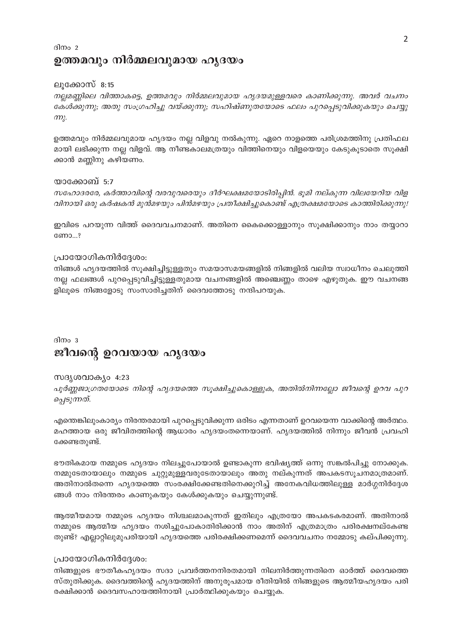### ദിനം 2 ഉത്തമവും നിർമ്മലവുമായ ഹൃദയം

#### ലൂക്കോസ് 8:15

നല്ലമണ്ണിലെ വിത്താകട്ടെ, ഉത്തമവും നിർമ്മലവുമായ ഹൃദയമുള്ളവരെ കാണിക്കുന്നു. അവർ വചനം കേൾക്കുന്നു; അതു സംഗ്രഹിച്ചു വയ്ക്കുന്നു; സഹിഷ്ണുതയോടെ ഫലം പുറപ്പെടുവിക്കുകയും ചെയ്യു  $m<sub>k</sub>$ .

ഉത്തമവും നിർമ്മലവുമായ ഹൃദയം നല്ല വിളവു നൽകുന്നു. ഏറെ നാളത്തെ പരിശ്രമത്തിനു പ്രതിഫല മായി ലഭിക്കുന്ന നല്ല വിളവ്. ആ നീണ്ടകാലമത്രയും വിത്തിനെയും വിളയെയും കേടുകൂടാതെ സൂക്ഷി ക്കാൻ മണ്ണിനു കഴിയണം.

#### യാക്കോബ് 5:7

സഹോദരരേ, കർത്താവിന്റെ വരവുവരെയും ദീർഘക്ഷമയോടിരിപ്പിൻ. ഭൂമി നല്കുന്ന വിലയേറിയ വിള വിനായി ഒരു കർഷകൻ മുൻമഴയും പിൻമഴയും പ്രതീക്ഷിച്ചുകൊണ്ട് എത്രക്ഷമയോടെ കാത്തിരിക്കുന്നു!

ഇവിടെ പറയുന്ന വിത്ത് ദൈവവചനമാണ്. അതിനെ കൈക്കൊള്ളാനും സൂക്ഷിക്കാനും നാം തയ്യാറാ ണോ...?

#### പ്രായോഗികനിർദ്ദേശം:

നിങ്ങൾ ഹൃദയത്തിൽ സൂക്ഷിച്ചിട്ടുള്ളതും സമയാസമയങ്ങളിൽ നിങ്ങളിൽ വലിയ സ്വാധീനം ചെലുത്തി നല്ല ഫലങ്ങൾ പുറപ്പെടുവിച്ചിട്ടുള്ളതുമായ വചനങ്ങളിൽ അഞ്ചെണ്ണം താഴെ എഴുതുക. ഈ വചനങ്ങ ളിലൂടെ നിങ്ങളോടു സംസാരിച്ചതിന് ദൈവത്തോടു നന്ദിപറയുക.

ദിനം 3

# ജീവന്റെ ഉറവയായ ഹൃദയം

#### സദൃശവാക്യം 4:23

പൂർണ്ണജാഗ്രതയോടെ നിന്റെ ഹൃദയത്തെ സൂക്ഷിച്ചുകൊള്ളുക, അതിൽനിന്നല്ലോ ജീവന്റെ ഉറവ പുറ പ്പെടുന്നത്.

എന്തെങ്കിലുംകാര്യം നിരന്തരമായി പുറപ്പെടുവിക്കുന്ന ഒരിടം എന്നതാണ് ഉറവയെന്ന വാക്കിന്റെ അർത്ഥം. മഹത്തായ ഒരു ജീവിതത്തിന്റെ ആധാരം ഹൃദയംതന്നെയാണ്. ഹൃദയത്തിൽ നിന്നും ജീവൻ പ്രവഹി ക്കേണ്ടതുണ്ട്.

ഭൗതികമായ നമ്മുടെ ഹൃദയം നിലച്ചുപോയാൽ ഉണ്ടാകുന്ന ഭവിഷ്യത്ത് ഒന്നു സങ്കൽപിച്ചു നോക്കുക. നമ്മുടേതായാലും നമ്മുടെ ചുറ്റുമുള്ളവരുടേതായാലും അതു നല്കുന്നത് അപകടസൂചനമാത്രമാണ്. അതിനാൽതന്നെ ഹൃദയത്തെ സംരക്ഷിക്കേണ്ടതിനെക്കുറിച്ച് അനേകവിധത്തിലുള്ള മാർഗ്ഗനിർദ്ദേശ ങ്ങൾ നാം നിരന്തരം കാണുകയും കേൾക്കുകയും ചെയ്യുന്നുണ്ട്.

ആത്മീയമായ നമ്മുടെ ഹൃദയം നിശ്ചലമാകുന്നത് ഇതിലും എത്രയോ അപകടകരമാണ്. അതിനാൽ നമ്മുടെ ആത്മീയ ഹൃദയം നശിച്ചുപോകാതിരിക്കാൻ നാം അതിന് എത്രമാത്രം പരിരക്ഷനല്കേണ്ട തുണ്ട്? എല്ലാറ്റിലുമുപരിയായി ഹൃദയത്തെ പരിരക്ഷിക്കണമെന്ന് ദൈവവചനം നമ്മോടു കല്പിക്കുന്നു.

#### പ്രായോഗികനിർദ്ദേശം:

നിങ്ങളുടെ ഭൗതീകഹൃദയം സദാ പ്രവർത്തനനിരതമായി നിലനിർത്തുന്നതിനെ ഓർത്ത് ദൈവത്തെ സ്തുതിക്കുക. ദൈവത്തിന്റെ ഹൃദയത്തിന് അനുരൂപമായ രീതിയിൽ നിങ്ങളുടെ ആത്മീയഹൃദയം പരി രക്ഷിക്കാൻ ദൈവസഹായത്തിനായി പ്രാർത്ഥിക്കുകയും ചെയ്യുക.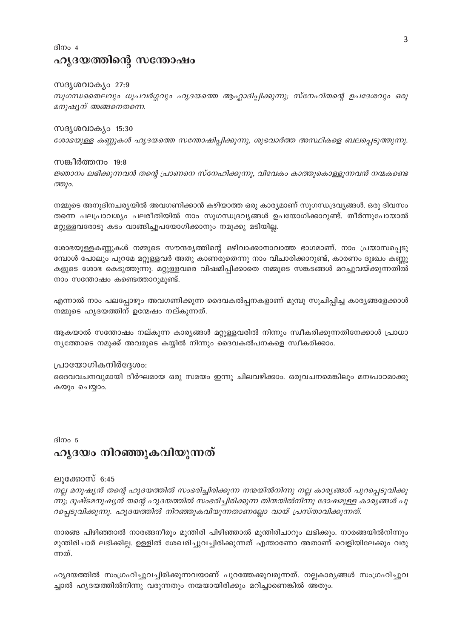# ദിനം  $4$ ഹൃദയത്തിന്റെ സന്തോഷം

#### സദൃശവാക്യം 27:9

സുഗന്ധതൈലവും ധൂപവർഗ്ഗവും ഹൃദയത്തെ ആഹ്ലാദിപ്പിക്കുന്നു; സ്നേഹിതന്റെ ഉപദേശവും ഒരു മനുഷ്യന് അങ്ങനെതന്നെ.

#### സദൃശവാക്യം 15:30

ശോഭയുള്ള കണ്ണുകൾ ഹൃദയത്തെ സന്തോഷിപ്പിക്കുന്നു, ശുഭവാർത്ത അസ്ഥികളെ ബലപ്പെടുത്തുന്നു.

#### സങ്കീർത്തനം 19:8

ജ്ഞാനം ലഭിക്കുന്നവൻ തന്റെ പ്രാണനെ സ്നേഹിക്കുന്നു, വിവേകം കാത്തുകൊള്ളുന്നവൻ നന്മകണ്ടെ ത്തും.

നമ്മുടെ അനുദിനചര്യയിൽ അവഗണിക്കാൻ കഴിയാത്ത ഒരു കാര്യമാണ് സുഗന്ധദ്രവ്യങ്ങൾ. ഒരു ദിവസം തന്നെ പലപ്രാവശ്യം പലരീതിയിൽ നാം സുഗന്ധദ്രവ്യങ്ങൾ ഉപയോഗിക്കാറുണ്ട്. തീർന്നുപോയാൽ മറ്റുള്ളവരോടു കടം വാങ്ങിച്ചുപയോഗിക്കാനും നമുക്കു മടിയില്ല.

ശോഭയുള്ളകണ്ണുകൾ നമ്മുടെ സൗന്ദര്യത്തിന്റെ ഒഴിവാക്കാനാവാത്ത ഭാഗമാണ്. നാം പ്രയാസപ്പെടു മ്പോൾ പോലും പുറമേ മറ്റുള്ളവർ അതു കാണരുതെന്നു നാം വിചാരിക്കാറുണ്ട്, കാരണം ദുഃഖം കണ്ണു കളുടെ ശോഭ കെടുത്തുന്നു. മറ്റുള്ളവരെ വിഷമിപ്പിക്കാതെ നമ്മുടെ സങ്കടങ്ങൾ മറച്ചുവയ്ക്കുന്നതിൽ നാം സന്തോഷം കണ്ടെത്താറുമുണ്ട്.

എന്നാൽ നാം പലപ്പോഴും അവഗണിക്കുന്ന ദൈവകൽപ്പനകളാണ് മുമ്പു സൂചിപ്പിച്ച കാര്യങ്ങളേക്കാൾ നമ്മുടെ ഹൃദയത്തിന് ഉന്മേഷം നല്കുന്നത്.

ആകയാൽ സന്തോഷം നല്കുന്ന കാര്യങ്ങൾ മറ്റുള്ളവരിൽ നിന്നും സ്വീകരിക്കുന്നതിനേക്കാൾ പ്രാധാ ന്യത്തോടെ നമുക്ക് അവരുടെ കയ്യിൽ നിന്നും ദൈവകൽപനകളെ സ്വീകരിക്കാം.

#### പ്രായോഗികനിർദ്ദേശം:

ദൈവവചനവുമായി ദീർഘമായ ഒരു സമയം ഇന്നു ചിലവഴിക്കാം. ഒരുവചനമെങ്കിലും മനഃപാഠമാക്കു കയും ചെയ്യാം.

ദിനം 5

# ഹൃദയം നിറഞ്ഞുകവിയുന്നത്

#### ലുക്കോസ് 6:45

നല്ല മനുഷ്യൻ തന്റെ ഹൃദയത്തിൽ സംഭരിച്ചിരിക്കുന്ന നന്മയിൽനിന്നു നല്ല കാര്യങ്ങൾ പുറപ്പെടുവിക്കു ന്നു; ദുഷ്ടമനുഷ്യൻ തന്റെ ഹൃദയത്തിൽ സംഭരിച്ചിരിക്കുന്ന തിന്മയിൽനിന്നു ദോഷമുള്ള കാര്യങ്ങൾ പു റപ്പെടുവിക്കുന്നു. ഹൃദയത്തിൽ നിറഞ്ഞുകവിയുന്നതാണല്ലോ വായ് പ്രസ്താവിക്കുന്നത്.

നാരങ്ങ പിഴിഞ്ഞാൽ നാരങ്ങനീരും മുന്തിരി പിഴിഞ്ഞാൽ മുന്തിരിചാറും ലഭിക്കും. നാരങ്ങയിൽനിന്നും മുന്തിരിചാർ ലഭിക്കില്ല. ഉള്ളിൽ ശേഖരിച്ചുവച്ചിരിക്കുന്നത് എന്താണോ അതാണ് വെളിയിലേക്കും വരു ന്നത്.

ഹൃദയത്തിൽ സംഗ്രഹിച്ചുവച്ചിരിക്കുന്നവയാണ് പുറത്തേക്കുവരുന്നത്. നല്ലകാര്യങ്ങൾ സംഗ്രഹിച്ചുവ ച്ചാൽ ഹൃദയത്തിൽനിന്നു വരുന്നതും നന്മയായിരിക്കും മറിച്ചാണെങ്കിൽ അതും.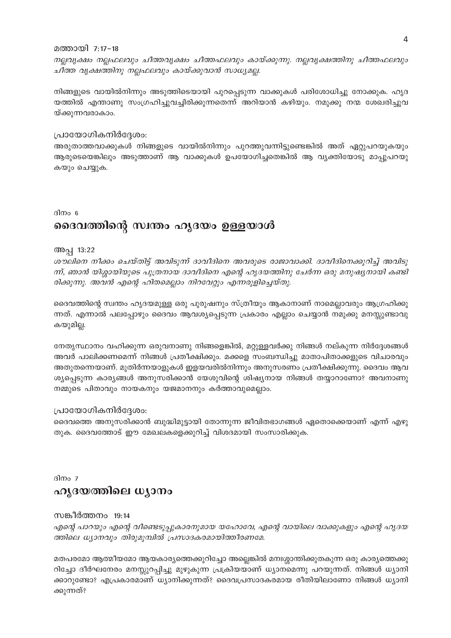#### മത്തായി 7:17-18

നല്ലവൃക്ഷം നല്ലഫലവും ചീത്തവൃക്ഷം ചീത്തഫലവും കായ്ക്കുന്നു. നല്ലവൃക്ഷത്തിനു ചീത്തഫലവും ചീത്ത വൃക്ഷത്തിനു നല്ലഫലവും കായ്ക്കുവാൻ സാധ്യമല്ല.

നിങ്ങളുടെ വായിൽനിന്നും അടുത്തിടെയായി പുറപ്പെടുന്ന വാക്കുകൾ പരിശോധിച്ചു നോക്കുക. ഹൃദ യത്തിൽ എന്താണു സംഗ്രഹിച്ചുവച്ചിരിക്കുന്നതെന്ന് അറിയാൻ കഴിയും. നമുക്കു നന്മ ശേഖരിച്ചുവ യ്ക്കുന്നവരാകാം.

#### പ്രായോഗികനിർദ്ദേശം:

അരുതാത്തവാക്കുകൾ നിങ്ങളുടെ വായിൽനിന്നും പുറത്തുവന്നിട്ടുണ്ടെങ്കിൽ അത് ഏറ്റുപറയുകയും ആരുടെയെങ്കിലും അടുത്താണ് ആ വാക്കുകൾ ഉപയോഗിച്ചതെങ്കിൽ ആ വ്യക്തിയോടു മാപ്പുപറയു കയും ചെയ്യുക.

#### ദിനം 6

# ദൈവത്തിന്റെ സ്ഥതം ഹൃദയം ഉള്ളയാൾ

#### അപ്പ 13:22

ശൗലിനെ നീക്കം ചെയ്തിട്ട് അവിടുന്ന് ദാവീദിനെ അവരുടെ രാജാവാക്കി. ദാവീദിനെക്കുറിച്ച് അവിടു ന്ന്, ഞാൻ യിശ്ശായിയുടെ പുത്രനായ ദാവീദിനെ എന്റെ ഹൃദയത്തിനു ചേർന്ന ഒരു മനുഷ്യനായി കണ്ടി രിക്കുന്നു. അവൻ എന്റെ ഹിതമെല്ലാം നിറവേറ്റും എന്നരുളിച്ചെയ്തു.

ദൈവത്തിന്റെ സ്വന്തം ഹൃദയമുള്ള ഒരു പുരുഷനും സ്ത്രീയും ആകാനാണ് നാമെല്ലാവരും ആഗ്രഹിക്കു ന്നത്. എന്നാൽ പലപ്പോഴും ദൈവം ആവശ്യപ്പെടുന്ന പ്രകാരം എല്ലാം ചെയ്യാൻ നമുക്കു മനസ്സുണ്ടാവു കയുമില്ല.

നേതൃസ്ഥാനം വഹിക്കുന്ന ഒരുവനാണു നിങ്ങളെങ്കിൽ, മറ്റുള്ളവർക്കു നിങ്ങൾ നല്കുന്ന നിർദ്ദേശങ്ങൾ അവർ പാലിക്കണമെന്ന് നിങ്ങൾ പ്രതീക്ഷിക്കും. മക്കളെ സംബന്ധിച്ചു മാതാപിതാക്കളുടെ വിചാരവും അതുതന്നെയാണ്. മുതിർന്നയാളുകൾ ഇളയവരിൽനിന്നും അനുസരണം പ്രതീക്ഷിക്കുന്നു. ദൈവം ആവ ശ്യപ്പെടുന്ന കാര്യങ്ങൾ അനുസരിക്കാൻ യേശുവിന്റെ ശിഷ്യനായ നിങ്ങൾ തയ്യാറാണോ? അവനാണു നമ്മുടെ പിതാവും നായകനും യജമാനനും കർത്താവുമെല്ലാം.

#### പ്രായോഗികനിർദ്ദേശം:

ദൈവത്തെ അനുസരിക്കാൻ ബുദ്ധിമുട്ടായി തോന്നുന്ന ജീവിതഭാഗങ്ങൾ ഏതൊക്കെയാണ് എന്ന് എഴു തുക. ദൈവത്തോട് ഈ മേഖലകളെക്കുറിച്ച് വിശദമായി സംസാരിക്കുക.

ദിനം 7

# ഹൂദയത്തിലെ ധ്യാനം

#### സങ്കീർത്തനം 19:14

എന്റെ പാറയും എന്റെ വീണ്ടെടുപ്പുകാരനുമായ യഹോവേ, എന്റെ വായിലെ വാക്കുകളും എന്റെ ഹൃദയ ത്തിലെ ധ്യാനവും തിരുമുമ്പിൽ പ്രസാദകരമായിത്തീരണമേ.

മതപരമോ ആത്മീയമോ ആയകാര്യത്തെക്കുറിച്ചോ അല്ലെങ്കിൽ മനഃശ്ശാന്തിക്കുതകുന്ന ഒരു കാര്യത്തെക്കു റിച്ചോ ദീർഘനേരം മനസ്സുറപ്പിച്ചു മുഴുകുന്ന പ്രക്രിയയാണ് ധ്യാനമെന്നു പറയുന്നത്. നിങ്ങൾ ധ്യാനി ക്കാറുണ്ടോ? എപ്രകാരമാണ് ധ്യാനിക്കുന്നത്? ദൈവപ്രസാദകരമായ രീതിയിലാണോ നിങ്ങൾ ധ്യാനി ക്കുന്നത്?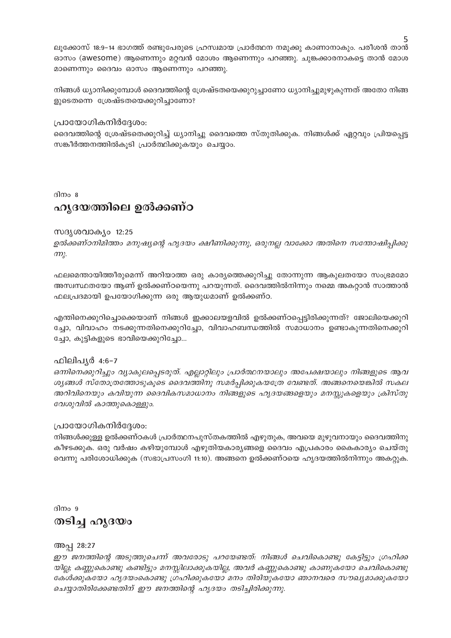ലൂക്കോസ് 18:9–14 ഭാഗത്ത് രണ്ടുപേരുടെ ഹ്രസ്വമായ പ്രാർത്ഥന നമുക്കു കാണാനാകും. പരീശൻ താൻ ഓസം (awesome) ആണെന്നും മറ്റവൻ മോശം ആണെന്നും പറഞ്ഞു. ചുങ്കക്കാരനാകട്ടെ താൻ മോശ മാണെന്നും ദൈവം ഓസം ആണെന്നും പറഞ്ഞു.

നിങ്ങൾ ധ്യാനിക്കുമ്പോൾ ദൈവത്തിന്റെ ശ്രേഷ്ടതയെക്കുറുച്ചാണോ ധ്യാനിച്ചുമുഴുകുന്നത് അതോ നിങ്ങ ളുടെതന്നെ ശ്രേഷ്ടതയെക്കുറിച്ചാണോ?

#### പ്രായോഗികനിർദ്ദേശം:

ദൈവത്തിന്റെ ശ്രേഷ്ടതെക്കുറിച്ച് ധ്യാനിച്ചു ദൈവത്തെ സ്തുതിക്കുക. നിങ്ങൾക്ക് ഏറ്റവും പ്രിയപ്പെട്ട സങ്കീർത്തനത്തിൽകൂടി പ്രാർത്ഥിക്കുകയും ചെയ്യാം.

ദിനം 8

# ഹൃദയത്തിലെ ഉൽക്കണ്ഠ

#### സദൃശവാക്യം 12:25

ഉൽക്കണ്ഠനിമിത്തം മനുഷ്യന്റെ ഹൃദയം ക്ഷീണിക്കുന്നു, ഒരുനല്ല വാക്കോ അതിനെ സന്തോഷിപ്പിക്കു  $m<sub>l</sub>$ .

ഫലമെന്തായിത്തീരുമെന്ന് അറിയാത്ത ഒരു കാര്യത്തെക്കുറിച്ചു തോന്നുന്ന ആകുലതയോ സംഭ്രമമോ അസ്വസ്ഥതയോ ആണ് ഉൽക്കണ്ഠയെന്നു പറയുന്നത്. ദൈവത്തിൽനിന്നും നമ്മെ അകറ്റാൻ സാത്താൻ ഫലപ്രദമായി ഉപയോഗിക്കുന്ന ഒരു ആയുധമാണ് ഉൽക്കണ്ഠ.

എന്തിനെക്കുറിച്ചൊക്കെയാണ് നിങ്ങൾ ഇക്കാലയളവിൽ ഉൽക്കണ്ഠപ്പെട്ടിരിക്കുന്നത്? ജോലിയെക്കുറി ച്ചോ, വിവാഹം നടക്കുന്നതിനെക്കുറിച്ചോ, വിവാഹബന്ധത്തിൽ സമാധാനം ഉണ്ടാകുന്നതിനെക്കുറി ച്ചോ, കുട്ടികളുടെ ഭാവിയെക്കുറിച്ചോ...

#### ഫിലിപൃർ 4:6-7

ഒന്നിനെക്കുറിച്ചും വ്യാകുലപ്പെടരുത്. എല്ലാറ്റിലും പ്രാർത്ഥനയാലും അപേക്ഷയാലും നിങ്ങളുടെ ആവ ശ്യങ്ങൾ സ്തോത്രത്തോടുകൂടെ ദൈവത്തിനു സമർപ്പിക്കുകയത്രേ വേണ്ടത്. അങ്ങനെയെങ്കിൽ സകല അറിവിനെയും കവിയുന്ന ദൈവികസമാധാനം നിങ്ങളുടെ ഹൃദയങ്ങളെയും മനസ്സുകളെയും ക്രിസ്തു വേശുവിൽ കാത്തുകൊള്ളും.

#### പ്രായോഗികനിർദ്ദേശം:

നിങ്ങൾക്കുള്ള ഉൽക്കണ്ഠകൾ പ്രാർത്ഥനപുസ്തകത്തിൽ എഴുതുക, അവയെ മുഴുവനായും ദൈവത്തിനു കീഴടക്കുക. ഒരു വർഷം കഴിയുമ്പോൾ എഴുതിയകാര്യങ്ങളെ ദൈവം എപ്രകാരം കൈകാര്യം ചെയ്തു വെന്നു പരിശോധിക്കുക (സഭാപ്രസംഗി 11:10). അങ്ങനെ ഉൽക്കണ്ഠയെ ഹൃദയത്തിൽനിന്നും അകറ്റുക.

ദിനം 9

# തടിച്ച ഹൃദയം

#### അപ്പ 28:27

ഈ ജനത്തിന്റെ അടുത്തുചെന്ന് അവരോടു പറയേണ്ടത്. നിങ്ങൾ ചെവികൊണ്ടു കേട്ടിട്ടും ഗ്രഹിക്ക യില്ല; കണ്ണുകൊണ്ടു കണ്ടിട്ടും മനസ്സിലാക്കുകയില്ല, അവർ കണ്ണുകൊണ്ടു കാണുകയോ ചെവികൊണ്ടു കേൾക്കുകയോ ഹൃദയംകൊണ്ടു ഗ്രഹിക്കുകയോ മനം തിരിയുകയോ ഞാനവരെ സൗഖ്യമാക്കുകയോ ചെയ്യാതിരിക്കേണ്ടതിന് ഈ ജനത്തിന്റെ ഹൃദയം തടിച്ചിരിക്കുന്നു.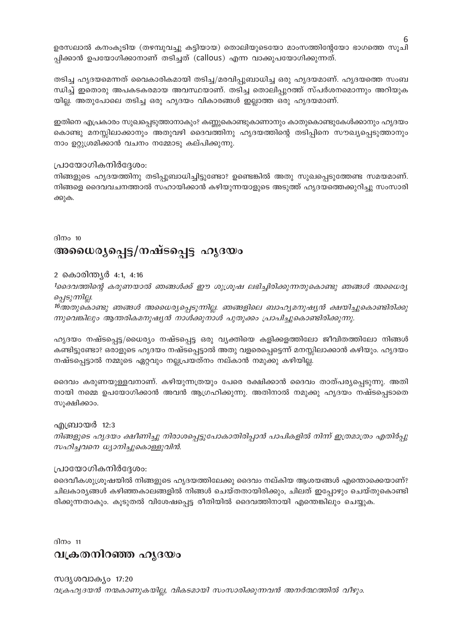ഉരസലാൽ കനംകൂടിയ (തഴമ്പുവച്ചു കട്ടിയായ) തൊലിയുടെയോ മാംസത്തിന്റേയോ ഭാഗത്തെ സൂചി പ്പിക്കാൻ ഉപയോഗിക്കാനാണ് തടിച്ചത് (callous) എന്ന വാക്കുപയോഗിക്കുന്നത്.

തടിച്ച ഹൃദയമെന്നത് വൈകാരികമായി തടിച്ച/മരവിപ്പുബാധിച്ച ഒരു ഹൃദയമാണ്. ഹൃദയത്തെ സംബ ന്ധിച്ച് ഇതൊരു അപകടകരമായ അവസ്ഥയാണ്. തടിച്ച തൊലിപ്പുറത്ത് സ്പർശനമൊന്നും അറിയുക യില്ല. അതുപോലെ തടിച്ച ഒരു ഹൃദയം വികാരങ്ങൾ ഇല്ലാത്ത ഒരു ഹൃദയമാണ്.

ഇതിനെ എപ്രകാരം സുഖപ്പെടുത്താനാകും? കണ്ണുകൊണ്ടുകാണാനും കാതുകൊണ്ടുകേൾക്കാനും ഹൃദയം കൊണ്ടു മനസ്സിലാക്കാനും അതുവഴി ദൈവത്തിനു ഹൃദയത്തിന്റെ തടിപ്പിനെ സൗഖ്യപ്പെടുത്താനും നാം ഉറ്റുശ്രമിക്കാൻ വചനം നമ്മോടു കല്പിക്കുന്നു.

#### പ്രായോഗികനിർദ്ദേശം:

നിങ്ങളുടെ ഹൃദയത്തിനു തടിപ്പുബാധിച്ചിട്ടുണ്ടോ? ഉണ്ടെങ്കിൽ അതു സുഖപ്പെടുത്തേണ്ട സമയമാണ്. നിങ്ങളെ ദൈവവചനത്താൽ സഹായിക്കാൻ കഴിയുന്നയാളുടെ അടുത്ത് ഹൃദയത്തെക്കുറിച്ചു സംസാരി ക്കുക.

ദിനം 10

# അധൈര്യപ്പെട്ട/നഷ്ടപ്പെട്ട ഹൃദയം

#### 2 കൊരിന്ത്യർ 4:1, 4:16

1ക്കെവത്തിന്റെ കരുണയാൽ ഞങ്ങൾക്ക് ഈ ശുശ്രൂഷ ലഭിച്ചിരിക്കുന്നതുകൊണ്ടു ഞങ്ങൾ അധൈര്യ പ്പെടുന്നില്ല.

16അതുകൊണ്ടു ഞങ്ങൾ അധൈര്യപ്പെടുന്നില്ല. ഞങ്ങളിലെ ബാഹ്യമനുഷ്യൻ ക്ഷയിച്ചുകൊണ്ടിരിക്കു ന്നുവെങ്കിലും ആന്തരികമനുഷ്യൻ നാൾക്കുനാൾ പുതുക്കം പ്രാപിച്ചുകൊണ്ടിരിക്കുന്നു.

ഹൃദയം നഷ്ടപ്പെട്ട/ധൈര്യം നഷ്ടപ്പെട്ട ഒരു വ്യക്തിയെ കളിക്കളത്തിലോ ജീവിതത്തിലോ നിങ്ങൾ കണ്ടിട്ടുണ്ടോ? ഒരാളുടെ ഹൃദയം നഷ്ടപ്പെട്ടാൽ അതു വളരെപ്പെട്ടെന്ന് മനസ്സിലാക്കാൻ കഴിയും. ഹൃദയം നഷ്ടപ്പെട്ടാൽ നമ്മുടെ ഏറ്റവും നല്ലപ്രയത്നം നല്കാൻ നമുക്കു കഴിയില്ല.

ദൈവം കരുണയുള്ളവനാണ്. കഴിയുന്നത്രയും പേരെ രക്ഷിക്കാൻ ദൈവം താത്പര്യപ്പെടുന്നു. അതി നായി നമ്മെ ഉപയോഗിക്കാൻ അവൻ ആഗ്രഹിക്കുന്നു. അതിനാൽ നമുക്കു ഹൃദയം നഷ്ടപ്പെടാതെ സൂക്ഷിക്കാം.

#### എബ്രായർ 12:3

നിങ്ങളുടെ ഹൃദയം ക്ഷീണിച്ചു നിരാശപ്പെട്ടുപോകാതിരിപ്പാൻ പാപികളിൽ നിന്ന് ഇത്രമാത്രം എതിർപ്പു സഹിച്ചവനെ ധ്യാനിച്ചുകൊള്ളുവിൻ.

#### പ്രായോഗികനിർദ്ദേശം:

ദൈവീകശുശ്രൂഷയിൽ നിങ്ങളുടെ ഹൃദയത്തിലേക്കു ദൈവം നല്കിയ ആശയങ്ങൾ എന്തൊക്കെയാണ്? ചിലകാര്യങ്ങൾ കഴിഞ്ഞകാലങ്ങളിൽ നിങ്ങൾ ചെയ്തതായിരിക്കും, ചിലത് ഇപ്പോഴും ചെയ്തുകൊണ്ടി രിക്കുന്നതാകും. കൂടുതൽ വിശേഷപ്പെട്ട രീതിയിൽ ദൈവത്തിനായി എന്തെങ്കിലും ചെയ്യുക.

ദിനം 11

# വക്രതനിറഞ്ഞ ഹൃദയം

സദൃശവാക്യം 17:20 വക്രഹൃദയൻ നന്മകാണുകയില്ല, വികടമായി സംസാരിക്കുന്നവൻ അനർത്ഥത്തിൽ വീഴും. 6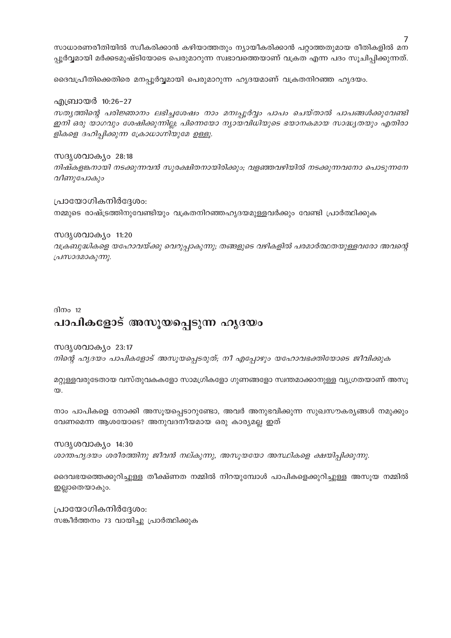സാധാരണരീതിയിൽ സ്വീകരിക്കാൻ കഴിയാത്തതും ന്യായീകരിക്കാൻ പറ്റാത്തതുമായ രീതികളിൽ മന പ്പൂർവ്വമായി മർക്കടമുഷ്ടിയോടെ പെരുമാറുന്ന സ്വഭാവത്തെയാണ് വക്രത എന്ന പദം സൂചിപ്പിക്കുന്നത്.

ദൈവപ്രീതിക്കെതിരെ മനപ്പൂർവ്വമായി പെരുമാറുന്ന ഹൃദയമാണ് വക്രതനിറഞ്ഞ ഹൃദയം.

#### എബ്രായർ 10:26–27

സത്യത്തിന്റെ പരിജ്ഞാനം ലഭിച്ചശേഷം നാം മനഃപ്പൂർവ്വം പാപം ചെയ്താൽ പാപങ്ങൾക്കുവേണ്ടി ഇനി ഒരു യാഗവും ശേഷിക്കുന്നില്ല; പിന്നെയോ ന്യായവിധിയുടെ ഭയാനകമായ സാദ്ധ്യതയും എതിരാ ളികളെ ദഹിപ്പിക്കുന്ന ക്രോധാഗ്നിയുമേ ഉള്ളൂ.

#### സദൃശവാക്യം 28:18

നിഷ്കളങ്കനായി നടക്കുന്നവൻ സുരക്ഷിതനായിരിക്കും; വളഞ്ഞവഴിയിൽ നടക്കുന്നവനോ പൊടുന്നനേ വീണുപോകും

#### പ്രായോഗികനിർദ്ദേശം:

നമ്മുടെ രാഷ്ട്രത്തിനുവേണ്ടിയും വക്രതനിറഞ്ഞഹൃദയമുള്ളവർക്കും വേണ്ടി പ്രാർത്ഥിക്കുക

#### സദൃശവാക്യം 11:20

വക്രബുദ്ധികളെ യഹോവയ്ക്കു വെറുപ്പാകുന്നു; തങ്ങളുടെ വഴികളിൽ പരമാർത്ഥതയുള്ളവരോ അവന്റെ പ്രസാദമാകുന്നു.

#### ദിനം 12

# പാപികളോട് അസൂയപ്പെടുന്ന ഹൃദയം

#### സദൃശവാക്യം 23:17

നിന്റെ ഹൃദയം പാപികളോട് അസൂയപ്പെടരുത്; നീ എപ്പോഴും യഹോവഭക്തിയോടെ ജീവിക്കുക

മറ്റുള്ളവരുടേതായ വസ്തുവകകളോ സാമഗ്രികളോ ഗുണങ്ങളോ സ്വന്തമാക്കാനുള്ള വ്യഗ്രതയാണ് അസൂ  $\infty$ 

നാം പാപികളെ നോക്കി അസൂയപ്പെടാറുണ്ടോ, അവർ അനുഭവിക്കുന്ന സുഖസൗകര്യങ്ങൾ നമുക്കും വേണമെന്ന ആശയോടെ? അനുവദനീയമായ ഒരു കാര്യമല്ല ഇത്

#### സദൃശവാക്യം 14:30

ശാന്തഹൃദയം ശരീരത്തിനു ജീവൻ നല്കുന്നു, അസൂയയോ അസ്ഥികളെ ക്ഷയിപ്പിക്കുന്നു.

ദൈവഭയത്തെക്കുറിച്ചുള്ള തീക്ഷ്ണത നമ്മിൽ നിറയുമ്പോൾ പാപികളെക്കുറിച്ചുള്ള അസൂയ നമ്മിൽ ഇല്ലാതെയാകും.

പ്രായോഗികനിർദ്ദേശം: സങ്കീർത്തനം 73 വായിച്ചു പ്രാർത്ഥിക്കുക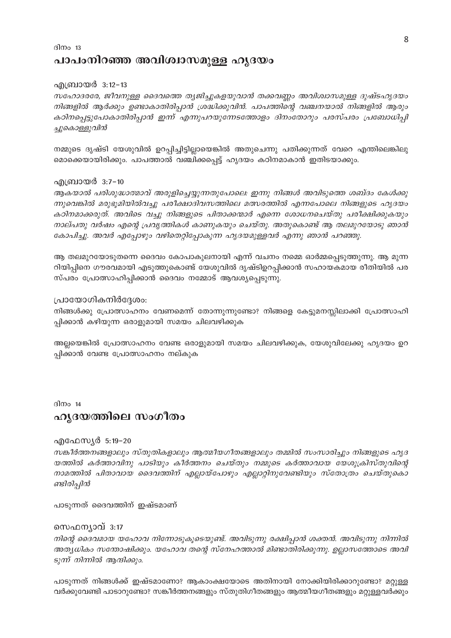### ദിനം  $13$ പാപംനിറഞ്ഞ അവിശ്വാസമുള്ള ഹൃദയം

#### എബ്രായർ 3:12–13

സഹോദരരേ, ജീവനുള്ള ദൈവത്തെ തൃജിച്ചുകളയുവാൻ തക്കവണ്ണം അവിശ്വാസമുള്ള ദുഷ്ടഹൃദയം നിങ്ങളിൽ ആർക്കും ഉണ്ടാകാതിരിപ്പാൻ ശ്രദ്ധിക്കുവിൻ. പാപത്തിന്റെ വഞ്ചനയാൽ നിങ്ങളിൽ ആരും കഠിനപ്പെട്ടുപോകാതിരിപ്പാൻ ഇന്ന് എന്നുപറയുന്നേടത്തോളം ദിനംതോറും പരസ്പരം പ്രബോധിപ്പി ച്ചുകൊള്ളുവിൻ

നമ്മുടെ ദൃഷ്ടി യേശുവിൽ ഉറപ്പിച്ചിട്ടില്ലായെങ്കിൽ അതുചെന്നു പതിക്കുന്നത് വേറെ എന്തിലെങ്കിലു മൊക്കെയായിരിക്കും. പാപത്താൽ വഞ്ചിക്കപ്പെട്ട് ഹൃദയം കഠിനമാകാൻ ഇതിടയാക്കും.

#### എബ്രായർ 3:7-10

ആകയാൽ പരിശുദ്ധാത്മാവ് അരുളിച്ചെയ്യുന്നതുപോലെ: ഇന്നു നിങ്ങൾ അവിടുത്തെ ശബ്ദം കേൾക്കു ന്നുവെങ്കിൽ മരുഭൂമിയിൽവച്ചു പരീക്ഷാദിവസത്തിലെ മത്സരത്തിൽ എന്നപോലെ നിങ്ങളുടെ ഹൃദയം കഠിനമാക്കരുത്. അവിടെ വച്ചു നിങ്ങളുടെ പിതാക്കന്മാർ എന്നെ ശോധനചെയ്തു പരീക്ഷിക്കുകയും നാല്പതു വർഷം എന്റെ പ്രവൃത്തികൾ കാണുകയും ചെയ്തു. അതുകൊണ്ട് ആ തലമുറയോടു ഞാൻ കോപിച്ചു. അവർ എപ്പോഴും വഴിതെറ്റിപ്പോകുന്ന ഹൃദയമുള്ളവർ എന്നു ഞാൻ പറഞ്ഞു.

ആ തലമുറയോടുതന്നെ ദൈവം കോപാകുലനായി എന്ന് വചനം നമ്മെ ഓർമ്മപ്പെടുത്തുന്നു. ആ മുന്ന റിയിപ്പിനെ ഗൗരവമായി എടുത്തുകൊണ്ട് യേശുവിൽ ദൃഷ്ടിഉറപ്പിക്കാൻ സഹായകമായ രീതിയിൽ പര സ്പരം പ്രോത്സാഹിപ്പിക്കാൻ ദൈവം നമ്മോട് ആവശ്യപ്പെടുന്നു.

#### പ്രായോഗികനിർദ്ദേശം:

നിങ്ങൾക്കു പ്രോത്സാഹനം വേണമെന്ന് തോന്നുന്നുണ്ടോ? നിങ്ങളെ കേട്ടുമനസ്സിലാക്കി പ്രോത്സാഹി പ്പിക്കാൻ കഴിയുന്ന ഒരാളുമായി സമയം ചിലവഴിക്കുക

അല്ലയെങ്കിൽ പ്രോത്സാഹനം വേണ്ട ഒരാളുമായി സമയം ചിലവഴിക്കുക, യേശുവിലേക്കു ഹൃദയം ഉറ പ്പിക്കാൻ വേണ്ട പ്രോത്സാഹനം നല്കുക

ദിനം  $14$ 

# ഹൃദയത്തിലെ സംഗീതം

#### എഫേസ്യർ 5:19–20

സങ്കീർത്തനങ്ങളാലും സ്തുതികളാലും ആത്മീയഗീതങ്ങളാലും തമ്മിൽ സംസാരിച്ചും നിങ്ങളുടെ ഹൃദ യത്തിൽ കർത്താവിനു പാടിയും കീർത്തനം ചെയ്തും നമ്മുടെ കർത്താവായ യേശുക്രിസ്തുവിന്റെ നാമത്തിൽ പിതാവായ ദൈവത്തിന് എല്ലായ്പോഴും എല്ലാറ്റിനുവേണ്ടിയും സ്തോത്രം ചെയ്തുകൊ ണ്ടിരിപ്പിൻ

പാടുന്നത് ദൈവത്തിന് ഇഷ്ടമാണ്

#### സെഫന്യാവ് 3:17

നിന്റെ ദൈവമായ യഹോവ നിന്നോടുകൂടെയുണ്ട്. അവിടുന്നു രക്ഷിപ്പാൻ ശക്തൻ. അവിടുന്നു നിന്നിൽ അത്യധികം സന്തോഷിക്കും. യഹോവ തന്റെ സ്നേഹത്താൽ മിണ്ടാതിരിക്കുന്നു. ഉല്ലാസത്തോടെ അവി ടുന്ന് നിന്നിൽ ആന്ദിക്കും.

പാടുന്നത് നിങ്ങൾക്ക് ഇഷ്ടമാണോ? ആകാംക്ഷയോടെ അതിനായി നോക്കിയിരിക്കാറുണ്ടോ? മറ്റുള്ള വർക്കുവേണ്ടി പാടാറുണ്ടോ? സങ്കീർത്തനങ്ങളും സ്തുതിഗീതങ്ങളും ആത്മീയഗീതങ്ങളും മറ്റുള്ളവർക്കും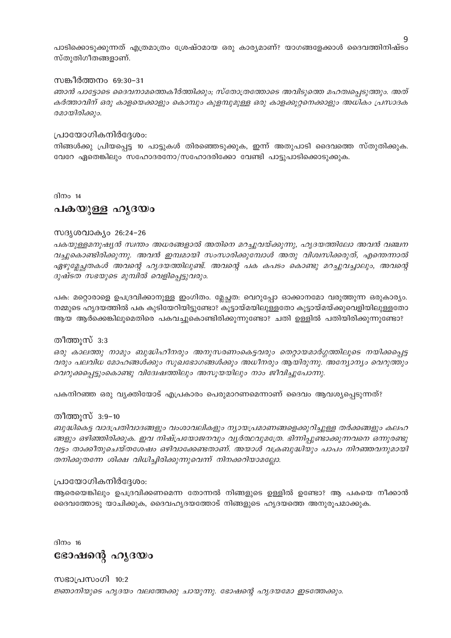പാടിക്കൊടുക്കുന്നത് എത്രമാത്രം ശ്രേഷ്ഠമായ ഒരു കാര്യമാണ്? യാഗങ്ങളേക്കാൾ ദൈവത്തിനിഷ്ടം സ്തുതിഗീതങ്ങളാണ്.

#### സങ്കീർത്തനം 69:30-31

ഞാൻ പാട്ടോടെ ദൈവനാമത്തെകീർത്തിക്കും; സ്തോത്രത്തോടെ അവിടുത്തെ മഹത്വപ്പെടുത്തും. അത് കർത്താവിന് ഒരു കാളയെക്കാളും കൊമ്പും കുളമ്പുമുള്ള ഒരു കാളക്കൂറ്റനെക്കാളും അധികം പ്രസാദക രമായിരിക്കും.

#### പ്രായോഗികനിർദ്ദേശം:

നിങ്ങൾക്കു പ്രിയപ്പെട്ട 10 പാട്ടുകൾ തിരഞ്ഞെടുക്കുക, ഇന്ന് അതുപാടി ദൈവത്തെ സ്തുതിക്കുക. വേറേ ഏതെങ്കിലും സഹോദരനോ/സഹോദരിക്കോ വേണ്ടി പാട്ടുപാടിക്കൊടുക്കുക.

ദിനം  $14$ 

#### പകയുള്ള ഹൃദയം

#### സദൃശവാകൃം 26:24-26

പകയുള്ളമനുഷ്യൻ സ്വന്തം അധരങ്ങളാൽ അതിനെ മറച്ചുവയ്ക്കുന്നു, ഹൃദയത്തിലോ അവൻ വഞ്ചന വച്ചുകൊണ്ടിരിക്കുന്നു. അവൻ ഇമ്പമായി സംസാരിക്കുമ്പോൾ അതു വിശ്വസിക്കരുത്, എന്തെന്നാൽ ഏഴുല്ലേച്ചതകൾ അവന്റെ ഹൃദയത്തിലുണ്ട്. അവന്റെ പക കപടം കൊണ്ടു മറച്ചുവച്ചാലും, അവന്റെ ദുഷ്ടത സഭയുടെ മുമ്പിൽ വെളിപ്പെട്ടുവരും.

പക: മറ്റൊരാളെ ഉപദ്രവിക്കാനുള്ള ഇംഗിതം. മ്ലേച്ഛത: വെറുപ്പോ ഓക്കാനമോ വരുത്തുന്ന ഒരുകാര്യം. നമ്മുടെ ഹൃദയത്തിൽ പക കുടിയേറിയിട്ടുണ്ടോ? കൂട്ടായ്മയിലുള്ളതോ കൂട്ടായ്മയ്ക്കുവെളിയിലുള്ളതോ ആയ ആർക്കെങ്കിലുമെതിരെ പകവച്ചുകൊണ്ടിരിക്കുന്നുണ്ടോ? ചതി ഉള്ളിൽ പതിയിരിക്കുന്നുണ്ടോ?

#### തീത്തുസ് 3:3

ഒരു കാലത്തു നാമും ബുദ്ധിഹീനരും അനുസരണംകെട്ടവരും തെറ്റായമാർഗ്ഗത്തിലൂടെ നയിക്കപ്പെട്ട വരും പലവിധ മോഹങ്ങൾക്കും സുഖഭോഗങ്ങൾക്കും അധീനരും ആയിരുന്നു. അന്യോന്യം വെറുത്തും വെറുക്കപ്പെട്ടുംകൊണ്ടു വിദേശ്ചത്തിലും അസൂയയിലും നാം ജീവിച്ചുപോന്നു.

പകനിറഞ്ഞ ഒരു വ്യക്തിയോട് എപ്രകാരം പെരുമാറണമെന്നാണ് ദൈവം ആവശ്യപ്പെടുന്നത്?

#### തീത്തുസ് 3:9–10

ബുദ്ധികെട്ട വാദപ്രതിവാദങ്ങളും വംശാവലികളും ന്യായപ്രമാണങ്ങളെക്കുറിച്ചുള്ള തർക്കങ്ങളും കലഹ ങ്ങളും ഒഴിഞ്ഞിരിക്കുക. ഇവ നിഷ്പ്രയോജനവും വ്യർത്ഥവുമത്രേ. ഭിന്നിപ്പുണ്ടാക്കുന്നവനെ ഒന്നുരണ്ടു വട്ടം താക്കീതുചെയ്തശേഷം ഒഴിവാക്കേണ്ടതാണ്. അയാൾ വക്രബുദ്ധിയും പാപം നിറഞ്ഞവനുമായി തനിക്കുതന്നേ ശിക്ഷ വിധിച്ചിരിക്കുന്നുവെന്ന് നിനക്കറിയാമല്ലോ.

#### പ്രായോഗികനിർദ്ദേശം:

ആരെയെങ്കിലും ഉപദ്രവിക്കണമെന്ന തോന്നൽ നിങ്ങളുടെ ഉള്ളിൽ ഉണ്ടോ? ആ പകയെ നീക്കാൻ ദൈവത്തോടു യാചിക്കുക, ദൈവഹൃദയത്തോട് നിങ്ങളുടെ ഹൃദയത്തെ അനുരൂപമാക്കുക.

ദിനം 16

ഭോഷന്റെ ഹൃദയം

സഭാപ്രസംഗി 10:2 ജ്ഞാനിയുടെ ഹൃദയം വലത്തേക്കു ചായുന്നു. ഭോഷന്റെ ഹൃദയമോ ഇടത്തേക്കും.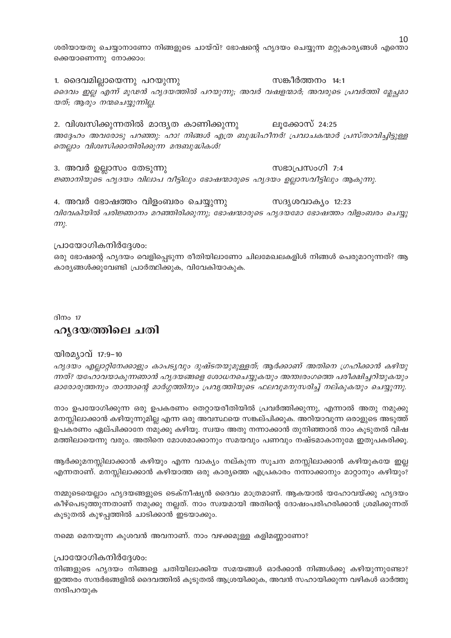ശരിയായതു ചെയ്യാനാണോ നിങ്ങളുടെ ചായ്വ്? ഭോഷന്റെ ഹൃദയം ചെയ്യുന്ന മറ്റുകാര്യങ്ങൾ എന്തൊ ക്കെയാണെന്നു നോക്കാം:

സങ്കീർത്തനം 14:1 1. ദൈവമില്ലായെന്നു പറയുന്നു ദൈവം ഇല്ല എന്ന് മൂഢൻ ഹൃദയത്തിൽ പറയുന്നു; അവർ വഷളന്മാർ; അവരുടെ പ്രവർത്തി മ്ലേച്ചമാ യത്; ആരും നന്മചെയ്യുന്നില്ല.

2. വിശ്വസിക്കുന്നതിൽ മാന്ദ്യത കാണിക്കുന്നു ലൂക്കോസ് 24:25 അദ്ദേഹം അവരോടു പറഞ്ഞു: ഹാ! നിങ്ങൾ എത്ര ബുദ്ധിഹീനർ! പ്രവാചകന്മാർ പ്രസ്താവിച്ചിട്ടുള്ള തെല്ലാം വിശ്വസിക്കാതിരിക്കുന്ന മന്ദബുദ്ധികൾ!

3. അവർ ഉല്ലാസം തേടുന്നു സഭാപ്രസംഗി  $7:4$ ജ്ഞാനിയുടെ ഹൃദയം വിലാപ വീട്ടിലും ഭോഷന്മാരുടെ ഹൃദയം ഉലാസവീട്ടിലും ആകുന്നു.

4. അവർ ഭോഷത്തം വിളംബരം ചെയ്യുന്നു സദൃശവാക്യം 12:23 വിവേകിയിൽ പരിജ്ഞാനം മറഞ്ഞിരിക്കുന്നു; ഭോഷന്മാരുടെ ഹൃദയമോ ഭോഷത്തം വിളംബരം ചെയ്യു  $m<sub>k</sub>$ .

#### പ്രായോഗികനിർദ്ദേശം:

ഒരു ഭോഷന്റെ ഹൃദയം വെളിപ്പെടുന്ന രീതിയിലാണോ ചിലമേഖലകളിൾ നിങ്ങൾ പെരുമാറുന്നത്? ആ കാര്യങ്ങൾക്കുവേണ്ടി പ്രാർത്ഥിക്കുക, വിവേകിയാകുക.

ദിനം  $17$ 

### ഹൃദയത്തിലെ ചതി

#### യിരമ്യാവ് 17:9-10

ഹൃദയം എല്ലാറ്റിനേക്കാളും കാപട്യവും ദുഷ്ടതയുമുള്ളത്; ആർക്കാണ് അതിനെ ഗ്രഹിക്കാൻ കഴിയു ന്നത്? യഹോവയാകുന്നഞാൻ ഹൃദയങ്ങളെ ശോധനചെയ്യുകയും അന്തഃരംഗത്തെ പരീക്ഷിച്ചറിയുകയും ഓരോരുത്തനും താന്താന്റെ മാർഗ്ഗത്തിനും പ്രവൃത്തിയുടെ ഫലവുമനുസരിച്ച് നല്കുകയും ചെയ്യുന്നു.

നാം ഉപയോഗിക്കുന്ന ഒരു ഉപകരണം തെറ്റായരീതിയിൽ പ്രവർത്തിക്കുന്നു, എന്നാൽ അതു നമുക്കു മനസ്സിലാക്കാൻ കഴിയുന്നുമില്ല എന്ന ഒരു അവസ്ഥയെ സങ്കല്പിക്കുക. അറിയാവുന്ന ഒരാളുടെ അടുത്ത് ഉപകരണം ഏല്പിക്കാനേ നമുക്കു കഴിയു. സ്വയം അതു നന്നാക്കാൻ തുനിഞ്ഞാൽ നാം കൂടുതൽ വിഷ മത്തിലായെന്നു വരും. അതിനെ മോശമാക്കാനും സമയവും പണവും നഷ്ടമാകാനുമേ ഇതുപകരിക്കൂ.

ആർക്കുമനസ്സിലാക്കാൻ കഴിയും എന്ന വാക്യം നല്കുന്ന സൂചന മനസ്സിലാക്കാൻ കഴിയുകയേ ഇല്ല എന്നതാണ്. മനസ്സിലാക്കാൻ കഴിയാത്ത ഒരു കാര്യത്തെ എപ്രകാരം നന്നാക്കാനും മാറ്റാനും കഴിയും?

നമ്മുടെയെല്ലാം ഹൃദയങ്ങളുടെ ടെക്നീഷ്യൻ ദൈവം മാത്രമാണ്. ആകയാൽ യഹോവയ്ക്കു ഹൃദയം കീഴ്പെടുത്തുന്നതാണ് നമുക്കു നല്ലത്. നാം സ്വയമായി അതിന്റെ ദോഷംപരിഹരിക്കാൻ ശ്രമിക്കുന്നത് കൂടുതൽ കുഴപ്പത്തിൽ ചാടിക്കാൻ ഇടയാക്കും.

നമ്മെ മെനയുന്ന കുശവൻ അവനാണ്. നാം വഴക്കമുള്ള കളിമണ്ണാണോ?

#### പ്രായോഗികനിർദ്ദേശം:

നിങ്ങളുടെ ഹൃദയം നിങ്ങളെ ചതിയിലാക്കിയ സമയങ്ങൾ ഓർക്കാൻ നിങ്ങൾക്കു കഴിയുന്നുണ്ടോ? ഇത്തരം സന്ദർഭങ്ങളിൽ ദൈവത്തിൽ കൂടുതൽ ആശ്രയിക്കുക, അവൻ സഹായിക്കുന്ന വഴികൾ ഓർത്തു നന്ദിപറയുക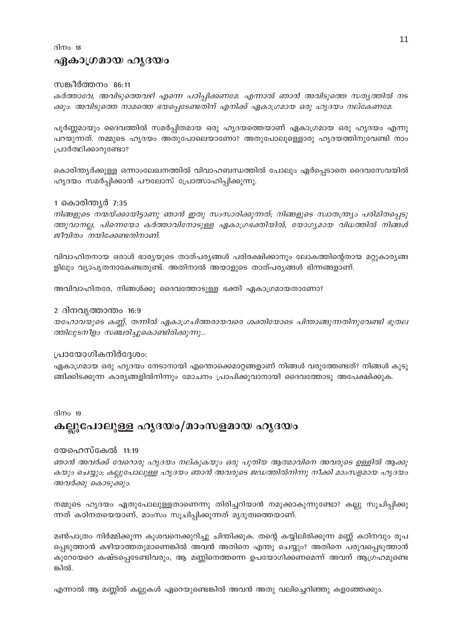ദിനം  $18$ 

#### ഏകാഗ്രമായ ഹൃദയം

#### സങ്കീർത്തനം 86:11

കർത്താവേ, അവിടുത്തെവഴി എന്നെ പഠിപ്പിക്കണമേ. എന്നാൽ ഞാൻ അവിടുത്തെ സത്യത്തിൽ നട ക്കും. അവിടുത്തെ നാമത്തെ ഭയപ്പെടേണ്ടതിന് എനിക്ക് ഏകാഗ്രമായ ഒരു ഹൃദയം നല്കേണമേ.

പൂർണ്ണമായും ദൈവത്തിൽ സമർപ്പിതമായ ഒരു ഹൃദയത്തെയാണ് ഏകാഗ്രമായ ഒരു ഹൃദയം എന്നു പറയുന്നത്. നമ്മുടെ ഹൃദയം അതുപോലെയാണോ? അതുപോലുള്ളൊരു ഹൃദയത്തിനുവേണ്ടി നാം പ്രാർത്ഥിക്കാറുണ്ടോ?

കൊരിന്ത്യർക്കുള്ള ഒന്നാംലേഖനത്തിൽ വിവാഹബന്ധത്തിൽ പോലും ഏർപ്പെടാതെ ദൈവസേവയിൽ ഹൃദയം സമർപ്പിക്കാൻ പൗലോസ് പ്രോത്സാഹിപ്പിക്കുന്നു.

#### 1 കൊരിന്ത്യർ 7:35

നിങ്ങളുടെ നന്മയ്ക്കായിട്ടാണു ഞാൻ ഇതു സംസാരിക്കുന്നത്; നിങ്ങളുടെ സ്വാതന്ത്ര്യം പരിമിതപ്പെടു ത്തുവാനല്ല, പിന്നെയോ കർത്താവിനോടുള്ള ഏകാഗ്രഭക്തിയിൽ, യോഗ്യമായ വിധത്തിൽ നിങ്ങൾ ജീവിതം നയിക്കേണ്ടതിനാണ്.

വിവാഹിതനായ ഒരാൾ ഭാര്യയുടെ താത്പര്യങ്ങൾ പരിരക്ഷിക്കാനും ലോകത്തിന്റെതായ മറ്റുകാര്യങ്ങ ളിലും വ്യാപൃതനാകേണ്ടതുണ്ട്. അതിനാൽ അയാളുടെ താത്പര്യങ്ങൾ ഭിന്നങ്ങളാണ്.

അവിവാഹിതരേ, നിങ്ങൾക്കു ദൈവത്തോടുള്ള ഭക്തി ഏകാഗ്രമായതാണോ?

#### 2 ദിനവൃത്താന്തം 16:9

യഹോവയുടെ കണ്ണ്, തന്നിൽ ഏകാഗ്രചിത്തരായവരെ ശക്തിയോടെ പിന്താങ്ങുന്നതിനുവേണ്ടി ഭൂതല ത്തിലുടനീളം സഞ്ചരിച്ചുകൊണ്ടിരിക്കുന്നു...

#### പ്രായോഗികനിർദ്ദേശം:

ഏകാഗ്രമായ ഒരു ഹൃദയം നേടാനായി എന്തൊക്കെമാറ്റങ്ങളാണ് നിങ്ങൾ വരുത്തേണ്ടത്? നിങ്ങൾ കുടു ങ്ങിക്കിടക്കുന്ന കാര്യങ്ങളിൽനിന്നും മോചനം പ്രാപിക്കുവാനായി ദൈവത്തോടു അപേക്ഷിക്കുക.

#### ദിനം  $19$

### കല്ലുപോലുള്ള ഹൃദയം/മാംസളമായ ഹൃദയം

#### യേഹെസ്കേൽ 11:19

ഞാൻ അവർക്ക് വേറൊരു ഹൃദയം നല്കുകയും ഒരു പുതിയ ആത്മാവിനെ അവരുടെ ഉള്ളിൽ ആക്കു കയും ചെയ്യും; കല്ലുപോലുള്ള ഹൃദയം ഞാൻ അവരുടെ ജഡത്തിൽനിന്നു നീക്കി മാംസളമായ ഹൃദയം അവർക്കു കൊടുക്കും.

നമ്മുടെ ഹൃദയം ഏതുപോലുള്ളതാണെന്നു തിരിച്ചറിയാൻ നമുക്കാകുന്നുണ്ടോ? കല്ലു സൂചിപ്പിക്കു ന്നത് കഠിനതയെയാണ്, മാംസം സൂചിപ്പിക്കുന്നത് മൃദുത്വത്തെയാണ്.

മൺപാത്രം നിർമ്മിക്കുന്ന കുശവനെക്കുറിച്ചു ചിന്തിക്കുക. തന്റെ കയ്യിലിരിക്കുന്ന മണ്ണ് കഠിനവും രൂപ പ്പെടുത്താൻ കഴിയാത്തതുമാണെങ്കിൽ അവൻ അതിനെ എന്തു ചെയ്യും? അതിനെ പരുവപ്പെടുത്താൻ കൂറേയേറെ കഷ്ടപ്പെടേണ്ടിവരും, ആ മണ്ണിനെത്തന്നെ ഉപയോഗിക്കണമെന്ന് അവന് ആഗ്രഹമുണ്ടെ ങ്കിൽ.

എന്നാൽ ആ മണ്ണിൽ കല്ലുകൾ ഏറെയുണ്ടെങ്കിൽ അവൻ അതു വലിച്ചെറിഞ്ഞു കളഞ്ഞേക്കും.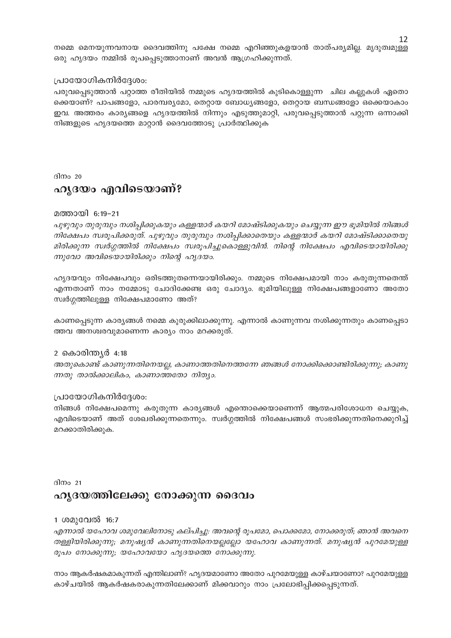നമ്മെ മെനയുന്നവനായ ദൈവത്തിനു പക്ഷേ നമ്മെ എറിഞ്ഞുകളയാൻ താത്പര്യമില്ല. മൃദുത്വമുള്ള ഒരു ഹൃദയം നമ്മിൽ രൂപപ്പെടുത്താനാണ് അവൻ ആഗ്രഹിക്കുന്നത്.

#### പ്രായോഗികനിർദ്ദേശം:

പരുവപ്പെടുത്താൻ പറ്റാത്ത രീതിയിൽ നമ്മുടെ ഹൃദയത്തിൽ കുടികൊള്ളുന്ന ചില കല്ലുകൾ ഏതൊ ക്കെയാണ്? പാപങ്ങളോ, പാരമ്പര്യമോ, തെറ്റായ ബോധ്യങ്ങളോ, തെറ്റായ ബന്ധങ്ങളോ ഒക്കെയാകാം ഇവ. അത്തരം കാര്യങ്ങളെ ഹൃദയത്തിൽ നിന്നും എടുത്തുമാറ്റി, പരുവപ്പെടുത്താൻ പറ്റുന്ന ഒന്നാക്കി നിങ്ങളുടെ ഹൃദയത്തെ മാറ്റാൻ ദൈവത്തോടു പ്രാർത്ഥിക്കുക

ദിനം 20

# ഹൃദയം എവിടെയാണ്?

#### മത്തായി 6:19-21

പുഴുവും തുരുമ്പും നശിപ്പിക്കുകയും കള്ളന്മാർ കയറി മോഷ്ടിക്കുകയും ചെയ്യുന്ന ഈ ഭൂമിയിൽ നിങ്ങൾ നിക്ഷേപം സ്വരൂപിക്കരുത്. പുഴുവും തുരുമ്പും നശിപ്പിക്കാതെയും കള്ളന്മാർ കയറി മോഷ്ടിക്കാതെയു മിരിക്കുന്ന സ്വർഗ്ഗത്തിൽ നിക്ഷേപം സ്വരൂപിച്ചുകൊള്ളുവിൻ. നിന്റെ നിക്ഷേപം എവിടെയായിരിക്കു ന്നുവോ അവിടെയായിരിക്കും നിന്റെ ഹൃദയം.

ഹൃദയവും നിക്ഷേപവും ഒരിടത്തുതന്നെയായിരിക്കും. നമ്മുടെ നിക്ഷേപമായി നാം കരുതുന്നതെന്ത് എന്നതാണ് നാം നമ്മോടു ചോദിക്കേണ്ട ഒരു ചോദ്യം. ഭൂമിയിലുള്ള നിക്ഷേപങ്ങളാണോ അതോ സ്വർഗ്ഗത്തിലുള്ള നിക്ഷേപമാണോ അത്?

കാണപ്പെടുന്ന കാര്യങ്ങൾ നമ്മെ കുരുക്കിലാക്കുന്നു. എന്നാൽ കാണുന്നവ നശിക്കുന്നതും കാണപ്പെടാ ത്തവ അനശ്വരവുമാണെന്ന കാര്യം നാം മറക്കരുത്.

#### 2 കൊരിന്ത്യർ 4:18

അതുകൊണ്ട് കാണുന്നതിനെയല്ല, കാണാത്തതിനെത്തന്നേ ഞങ്ങൾ നോക്കിക്കൊണ്ടിരിക്കുന്നു; കാണു ന്നതു താൽക്കാലികം, കാണാത്തതോ നിത്യം.

#### പ്രായോഗികനിർദ്ദേശം:

നിങ്ങൾ നിക്ഷേപമെന്നു കരുതുന്ന കാര്യങ്ങൾ എന്തൊക്കെയാണെന്ന് ആത്മപരിശോധന ചെയ്യുക, എവിടെയാണ് അത് ശേഖരിക്കുന്നതെന്നും. സ്വർഗ്ഗത്തിൽ നിക്ഷേപങ്ങൾ സംഭരിക്കുന്നതിനെക്കുറിച്ച് മറക്കാതിരിക്കുക.

# ദിനം 21 ഹൃദയത്തിലേക്കു നോക്കുന്ന ദൈവം

#### 1 ശമുവേൽ 16:7

എന്നാൽ യഹോവ ശമുവേലിനോടു കല്പിച്ചു. അവന്റെ രൂപമോ, പൊക്കമോ, നോക്കരുത്, ഞാൻ അവനെ തള്ളിയിരിക്കുന്നു; മനുഷ്യൻ കാണുന്നതിനെയല്ലല്ലോ യഹോവ കാണുന്നത്. മനുഷ്യൻ പുറമേയുള്ള രൂപം നോക്കുന്നു; യഹോവയോ ഹൃദയത്തെ നോക്കുന്നു.

നാം ആകർഷകമാകുന്നത് എന്തിലാണ്? ഹൃദയമാണോ അതോ പുറമേയുള്ള കാഴ്ചയാണോ? പുറമേയുള്ള കാഴ്ചയിൽ ആകർഷകരാകുന്നതിലേക്കാണ് മിക്കവാറും നാം പ്രലോഭിപ്പിക്കപ്പെടുന്നത്.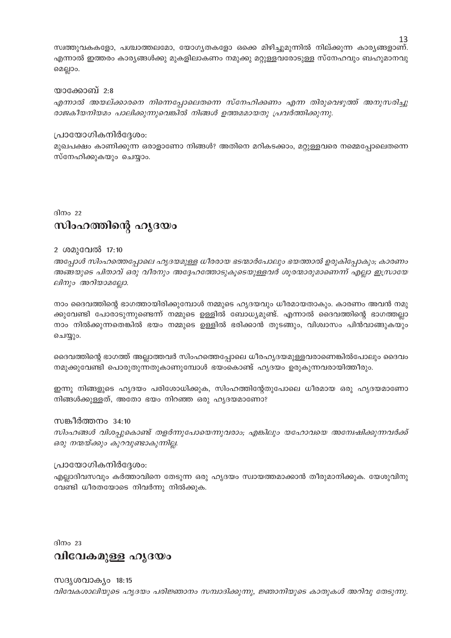സ്വത്തുവകകളോ, പശ്ചാത്തലമോ, യോഗൃതകളോ ഒക്കെ മിഴിച്ചുമുന്നിൽ നില്ക്കുന്ന കാര്യങ്ങളാണ്. എന്നാൽ ഇത്തരം കാര്യങ്ങൾക്കു മുകളിലാകണം നമുക്കു മറ്റുള്ളവരോടുള്ള സ്നേഹവും ബഹുമാനവു മെല്ലാം.

#### യാക്കോബ് 2:8

എന്നാൽ അയല്ക്കാരനെ നിന്നെപ്പോലെതന്നെ സ്നേഹിക്കണം എന്ന തിരുവെഴുത്ത് അനുസരിച്ചു രാജകീയനിയമം പാലിക്കുന്നുവെങ്കിൽ നിങ്ങൾ ഉത്തമമായതു പ്രവർത്തിക്കുന്നു.

#### പ്രായോഗികനിർദ്ദേശം:

മുഖപക്ഷം കാണിക്കുന്ന ഒരാളാണോ നിങ്ങൾ? അതിനെ മറികടക്കാം, മറ്റുള്ളവരെ നമ്മെപ്പോലെതന്നെ സ്നേഹിക്കുകയും ചെയ്യാം.

# ദിനം  $22$ സിംഹത്തിന്റെ ഹൃദയം

#### 2 ശമുവേൽ 17:10

അപോൾ സിംഹത്തെപ്പോലെ ഹൃദയമുള്ള ധീരരായ ഭടന്മാർപോലും ഭയത്താൽ ഉരുകിപ്പോകും; കാരണം അങ്ങയുടെ പിതാവ് ഒരു വീരനും അദ്ദേഹത്തോടുകൂടെയുള്ളവർ ശൂരന്മാരുമാണെന്ന് എല്ലാ ഇസ്രായേ ലിനും അറിയാമല്ലോ.

നാം ദൈവത്തിന്റെ ഭാഗത്തായിരിക്കുമ്പോൾ നമ്മുടെ ഹൃദയവും ധീരമായതാകും. കാരണം അവൻ നമു ക്കുവേണ്ടി പോരാടുന്നുണ്ടെന്ന് നമ്മുടെ ഉള്ളിൽ ബോധ്യമുണ്ട്. എന്നാൽ ദൈവത്തിന്റെ ഭാഗത്തല്ലാ നാം നിൽക്കുന്നതെങ്കിൽ ഭയം നമ്മുടെ ഉള്ളിൽ ഭരിക്കാൻ തുടങ്ങും, വിശ്വാസം പിൻവാങ്ങുകയും ചെയ്യും.

ദൈവത്തിന്റെ ഭാഗത്ത് അല്ലാത്തവർ സിംഹത്തെപ്പോലെ ധീരഹൃദയമുള്ളവരാണെങ്കിൽപോലും ദൈവം നമുക്കുവേണ്ടി പൊരുതുന്നതുകാണുമ്പോൾ ഭയംകൊണ്ട് ഹൃദയം ഉരുകുന്നവരായിത്തീരും.

ഇന്നു നിങ്ങളുടെ ഹൃദയം പരിശോധിക്കുക, സിംഹത്തിന്റേതുപോലെ ധീരമായ ഒരു ഹൃദയമാണോ നിങ്ങൾക്കുള്ളത്, അതോ ഭയം നിറഞ്ഞ ഒരു ഹൃദയമാണോ?

#### സങ്കീർത്തനം 34:10

സിംഹങ്ങൾ വിശപ്പുകൊണ്ട് തളർന്നുപോയെന്നുവരാം; എങ്കിലും യഹോവയെ അന്വേഷിക്കുന്നവർക്ക് ഒരു നന്മയ്ക്കും കുറവുണ്ടാകുന്നില്ല.

#### പ്രായോഗികനിർദ്ദേശം:

എല്ലാദിവസവും കർത്താവിനെ തേടുന്ന ഒരു ഹൃദയം സ്വായത്തമാക്കാൻ തീരുമാനിക്കുക. യേശുവിനു വേണ്ടി ധീരതയോടെ നിവർന്നു നിൽക്കുക.

 $\frac{1}{2}$ 

# വിവേകമുള്ള ഹൃദയം

സദൃശവാക്യം 18:15 വിവേകശാലിയുടെ ഹൃദയം പരിജ്ഞാനം സമ്പാദിക്കുന്നു, ജ്ഞാനിയുടെ കാതുകൾ അറിവു തേടുന്നു.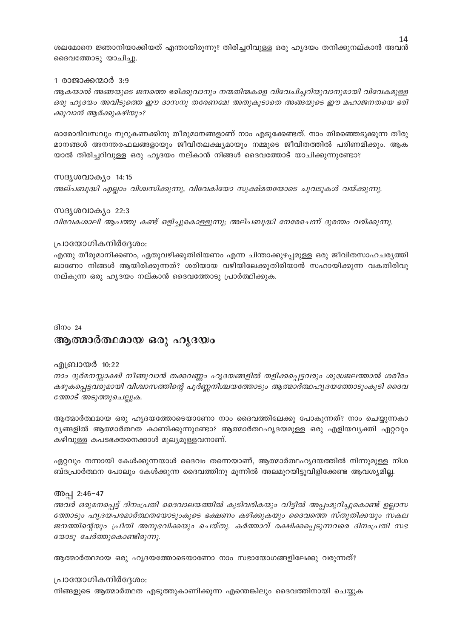ശലമോനെ ജ്ഞാനിയാക്കിയത് എന്തായിരുന്നു? തിരിച്ചറിവുള്ള ഒരു ഹൃദയം തനിക്കുനല്കാൻ അവൻ ദൈവത്തോടു യാചിച്ചു.

#### 1 രാജാക്കന്മാർ 3:9

ആകയാൽ അങ്ങയുടെ ജനത്തെ ഭരിക്കുവാനും നന്മതിന്മകളെ വിവേചിച്ചറിയുവാനുമായി വിവേകമുള്ള ഒരു ഹൃദയം അവിടുത്തെ ഈ ദാസനു തരേണമേ! അതുകൂടാതെ അങ്ങയുടെ ഈ മഹാജനതയെ ഭരി ക്കുവാൻ ആർക്കുകഴിയും?

ഓരോദിവസവും നൂറുകണക്കിനു തീരുമാനങ്ങളാണ് നാം എടുക്കേണ്ടത്. നാം തിരഞ്ഞെടുക്കുന്ന തീരു മാനങ്ങൾ അനന്തരഫലങ്ങളായും ജീവിതലക്ഷ്യമായും നമ്മുടെ ജീവിതത്തിൽ പരിണമിക്കും. ആക യാൽ തിരിച്ചറിവുള്ള ഒരു ഹൃദയം നല്കാൻ നിങ്ങൾ ദൈവത്തോട് യാചിക്കുന്നുണ്ടോ?

സദൃശവാക്യം 14:15 അല്പബുദ്ധി എല്ലാം വിശ്വസിക്കുന്നു, വിവേകിയോ സുക്ഷ്മതയോടെ ചുവടുകൾ വയ്ക്കുന്നു.

സദൃശവാക്യം 22:3 വിവേകശാലി ആപത്തു കണ്ട് ഒളിച്ചുകൊള്ളുന്നു; അല്പബുദ്ധി നേരേചെന്ന് ദുരന്തം വരിക്കുന്നു.

#### പ്രായോഗികനിർദ്ദേശം:

എന്തു തീരുമാനിക്കണം, ഏതുവഴിക്കുതിരിയണം എന്ന ചിന്താക്കുഴപ്പമുള്ള ഒരു ജീവിതസാഹചര്യത്തി ലാണോ നിങ്ങൾ ആയിരിക്കുന്നത്? ശരിയായ വഴിയിലേക്കുതിരിയാൻ സഹായിക്കുന്ന വകതിരിവു നല്കുന്ന ഒരു ഹൃദയം നല്കാൻ ദൈവത്തോടു പ്രാർത്ഥിക്കുക.

#### ദിനം 24

### ആത്മാർത്ഥമായ ഒരു ഹൃദയം

#### എബ്രായർ 10:22

നാം ദുർമനസ്സാക്ഷി നീങ്ങുവാൻ തക്കവണ്ണം ഹൃദയങ്ങളിൽ തളിക്കപ്പെട്ടവരും ശുദ്ധജലത്താൽ ശരീരം കഴുകപ്പെട്ടവരുമായി വിശ്വാസത്തിന്റെ പൂർണ്ണനിശ്ചയത്തോടും ആത്മാർത്ഥഹൃദയത്തോടുംകൂടി ദൈവ ത്തോട് അടുത്തുചെല്ലുക.

ആത്മാർത്ഥമായ ഒരു ഹൃദയത്തോടെയാണോ നാം ദൈവത്തിലേക്കു പോകുന്നത്? നാം ചെയ്യുന്നകാ ര്യങ്ങളിൽ ആത്മാർത്ഥത കാണിക്കുന്നുണ്ടോ? ആത്മാർത്ഥഹ്യദയമുള്ള ഒരു എളിയവ്യക്തി ഏറ്റവും കഴിവുള്ള കപടഭക്തനെക്കാൾ മൂല്യമുള്ളവനാണ്.

ഏറ്റവും നന്നായി കേൾക്കുന്നയാൾ ദൈവം തന്നെയാണ്, ആത്മാർത്ഥഹ്യദയത്തിൽ നിന്നുമുള്ള നിശ ബ്ദപ്രാർത്ഥന പോലും കേൾക്കുന്ന ദൈവത്തിനു മുന്നിൽ അലമുറയിട്ടുവിളിക്കേണ്ട ആവശ്യമില്ല.

#### അപ്പ 2:46-47

അവർ ഒരുമനപ്പെട്ട് ദിനംപ്രതി ദൈവാലയത്തിൽ കൂടിവരികയും വീട്ടിൽ അപ്പംമുറിച്ചുകൊണ്ട് ഉല്ലാസ ത്തോടും ഹൃദയപരമാർത്ഥതയോടുംകൂടെ ഭക്ഷണം കഴിക്കുകയും ദൈവത്തെ സ്തുതിക്കയും സകല ജനത്തിന്റെയും പ്രീതി അനുഭവിക്കയും ചെയ്തു. കർത്താവ് രക്ഷിക്കപ്പെടുന്നവരെ ദിനംപ്രതി സഭ യോടു ചേർത്തുകൊണ്ടിരുന്നു.

ആത്മാർത്ഥമായ ഒരു ഹൃദയത്തോടെയാണോ നാം സഭായോഗങ്ങളിലേക്കു വരുന്നത്?

#### പ്രായോഗികനിർദ്ദേശം:

നിങ്ങളുടെ ആത്മാർത്ഥത എടുത്തുകാണിക്കുന്ന എന്തെങ്കിലും ദൈവത്തിനായി ചെയ്യുക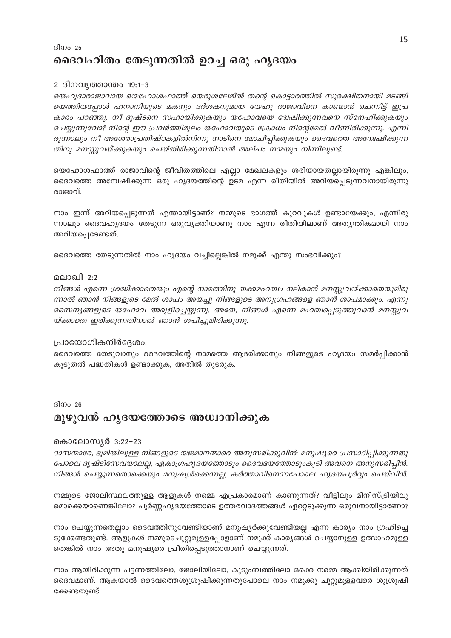# ദിനം  $25$ ദൈവഹിതം തേടുന്നതിൽ ഉറച്ച ഒരു ഹൃദയം

#### 2 ദിനവൃത്താന്തം 19:1–3

യെഹൂദാരാജാവായ യെഹോശഫാത്ത് യെരുശലേമിൽ തന്റെ കൊട്ടാരത്തിൽ സുരക്ഷിതനായി മടങ്ങി യെത്തിയപ്പോൾ ഹനാനിയുടെ മകനും ദർശകനുമായ യേഹു രാജാവിനെ കാണ്മാൻ ചെന്നിട്ട് ഇപ്ര കാരം പറഞ്ഞു. നീ ദുഷ്ടനെ സഹായിക്കുകയും യഹോവയെ ദ്വേഷിക്കുന്നവനെ സ്നേഹിക്കുകയും ചെയ്യുന്നുവോ? നിന്റെ ഈ പ്രവർത്തിമൂലം യഹോവയുടെ ക്രോധം നിന്റെമേൽ വീണിരിക്കുന്നു. എന്നി രുന്നാലും നീ അശേരാപ്രതിഷ്ഠകളിൽനിന്നു നാടിനെ മോചിപ്പിക്കുകയും ദൈവത്തെ അമ്പേഷിക്കുന്ന തിനു മനസ്സുവയ്ക്കുകയും ചെയ്തിരിക്കുന്നതിനാൽ അല്പം നന്മയും നിന്നിലുണ്ട്.

യെഹോശഫാത്ത് രാജാവിന്റെ ജീവിതത്തിലെ എല്ലാ മേഖലകളും ശരിയായതല്ലായിരുന്നു എങ്കിലും, ദൈവത്തെ അമ്പേഷിക്കുന്ന ഒരു ഹൃദയത്തിന്റെ ഉടമ എന്ന രീതിയിൽ അറിയപ്പെടുന്നവനായിരുന്നു രാജാവ്.

നാം ഇന്ന് അറിയപ്പെടുന്നത് എന്തായിട്ടാണ്? നമ്മുടെ ഭാഗത്ത് കുറവുകൾ ഉണ്ടായേക്കും, എന്നിരു ന്നാലും ദൈവഹൃദയം തേടുന്ന ഒരുവ്യക്തിയാണു നാം എന്ന രീതിയിലാണ് അത്യന്തികമായി നാം അറിയപ്പെടേണ്ടത്.

ദൈവത്തെ തേടുന്നതിൽ നാം ഹൃദയം വച്ചില്ലെങ്കിൽ നമുക്ക് എന്തു സംഭവിക്കും?

#### മലാഖി 2:2

നിങ്ങൾ എന്നെ ശ്രദ്ധിക്കാതെയും എന്റെ നാമത്തിനു തക്കമഹത്വം നല്കാൻ മനസ്സുവയ്ക്കാതെയുമിരു ന്നാൽ ഞാൻ നിങ്ങളുടെ മേൽ ശാപം അയച്ചു നിങ്ങളുടെ അനുഗ്രഹങ്ങളെ ഞാൻ ശാപമാക്കും. എന്നു സൈന്യങ്ങളുടെ യഹോവ അരുളിച്ചെയ്യുന്നു. അതേ, നിങ്ങൾ എന്നെ മഹത്വപ്പെടുത്തുവാൻ മനസ്സുവ യ്ക്കാതെ ഇരിക്കുന്നതിനാൽ ഞാൻ ശപിച്ചുമിരിക്കുന്നു.

#### പ്രായോഗികനിർദ്ദേശം:

ദൈവത്തെ തേടുവാനും ദൈവത്തിന്റെ നാമത്തെ ആദരിക്കാനും നിങ്ങളുടെ ഹൃദയം സമർപ്പിക്കാൻ കൂടുതൽ പദ്ധതികൾ ഉണ്ടാക്കുക, അതിൽ തുടരുക.

#### ദിന $\circ$  26

# മുഴുവൻ ഹൃദയത്തോടെ അധ്വാനിക്കുക

#### കൊലോസൃർ 3:22-23

ദാസന്മാരേ, ഭൂമിയിലുള്ള നിങ്ങളുടെ യജമാനന്മാരെ അനുസരിക്കുവിൻ: മനുഷ്യരെ പ്രസാദിപ്പിക്കുന്നതു പോലെ ദൃഷ്ടിസേവയാലല്ല, ഏകാഗ്രഹൃദയത്തോടും ദൈവഭയത്തോടുംകൂടി അവനെ അനുസരിപ്പിൻ. നിങ്ങൾ ചെയ്യുന്നതൊക്കെയും മനുഷ്യർക്കെന്നല്ല, കർത്താവിനെന്നപോലെ ഹൃദയപൂർവ്വം ചെയ്വിൻ.

നമ്മുടെ ജോലിസ്ഥലത്തുള്ള ആളുകൾ നമ്മെ എപ്രകാരമാണ് കാണുന്നത്? വീട്ടിലും മിനിസ്ട്രിയിലു മൊക്കെയാണെങ്കിലോ? പൂർണ്ണഹൃദയത്തോടെ ഉത്തരവാദത്തങ്ങൾ ഏറ്റെടുക്കുന്ന ഒരുവനായിട്ടാണോ?

നാം ചെയ്യുന്നതെല്ലാം ദൈവത്തിനുവേണ്ടിയാണ് മനുഷ്യർക്കുവേണ്ടിയല്ല എന്ന കാര്യം നാം ഗ്രഹിച്ചെ ടുക്കേണ്ടതുണ്ട്. ആളുകൾ നമ്മുടെചുറ്റുമുള്ളപ്പോളാണ് നമുക്ക് കാര്യങ്ങൾ ചെയ്യാനുള്ള ഉത്സാഹമുള്ള തെങ്കിൽ നാം അതു മനുഷ്യരെ പ്രീതിപ്പെടുത്താനാണ് ചെയ്യുന്നത്.

നാം ആയിരിക്കുന്ന പട്ടണത്തിലോ, ജോലിയിലോ, കുടുംബത്തിലോ ഒക്കെ നമ്മെ ആക്കിയിരിക്കുന്നത് ദൈവമാണ്. ആകയാൽ ദൈവത്തെശുശ്രൂഷിക്കുന്നതുപോലെ നാം നമുക്കു ചുറ്റുമുള്ളവരെ ശുശ്രൂഷി ക്കേണ്ടതുണ്ട്.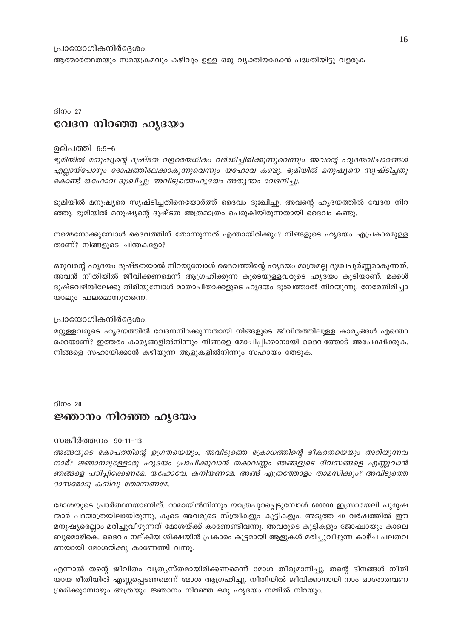#### പ്രായോഗികനിർദ്ദേശം:

ആത്മാർത്ഥതയും സമയക്രമവും കഴിവും ഉള്ള ഒരു വ്യക്തിയാകാൻ പദ്ധതിയിട്ടു വളരുക

# ദിനം  $27$ വേദന നിറഞ്ഞ ഹൃദയം

#### ഉല്പത്തി 6:5–6

ഭൂമിയിൽ മനുഷ്യന്റെ ദുഷ്ടത വളരെയധികം വർദ്ധിച്ചിരിക്കുന്നുവെന്നും അവന്റെ ഹൃദയവിചാരങ്ങൾ എല്ലായ്പോഴും ദോഷത്തിലേക്കാകുന്നുവെന്നും യഹോവ കണ്ടു. ഭൂമിയിൽ മനുഷ്യനെ സൃഷ്ടിച്ചതു കൊണ്ട് യഹോവ ദുഃഖിച്ചു; അവിടുത്തെഹൃദയം അതൃന്തം വേദനിച്ചു.

ഭുമിയിൽ മനുഷ്യരെ സൃഷ്ടിച്ചതിനെയോർത്ത് ദൈവം ദുഃഖിച്ചു. അവന്റെ ഹൃദയത്തിൽ വേദന നിറ ഞ്ഞു. ഭൂമിയിൽ മനുഷ്യന്റെ ദുഷ്ടത അത്രമാത്രം പെരുകിയിരുന്നതായി ദൈവം കണ്ടു.

നമ്മെനോക്കുമ്പോൾ ദൈവത്തിന് തോന്നുന്നത് എന്തായിരിക്കും? നിങ്ങളുടെ ഹൃദയം എപ്രകാരമുള്ള താണ്? നിങ്ങളുടെ ചിന്തകളോ?

ഒരുവന്റെ ഹൃദയം ദുഷ്ടതയാൽ നിറയുമ്പോൾ ദൈവത്തിന്റെ ഹൃദയം മാത്രമല്ല ദുഃഖപൂർണ്ണമാകുന്നത്, അവൻ നീതിയിൽ ജീവിക്കണമെന്ന് ആഗ്രഹിക്കുന്ന കൂടെയുള്ളവരുടെ ഹൃദയം കൂടിയാണ്. മക്കൾ ദുഷ്ടവഴിയിലേക്കു തിരിയുമ്പോൾ മാതാപിതാക്കളുടെ ഹൃദയം ദുഃഖത്താൽ നിറയുന്നു. നേരേതിരിച്ചാ യാലും ഫലമൊന്നുതന്നെ.

#### പ്രായോഗികനിർദ്ദേശം:

മറ്റുള്ളവരുടെ ഹൃദയത്തിൽ വേദനനിറക്കുന്നതായി നിങ്ങളുടെ ജീവിതത്തിലുള്ള കാര്യങ്ങൾ എന്തൊ ക്കെയാണ്? ഇത്തരം കാര്യങ്ങളിൽനിന്നും നിങ്ങളെ മോചിപ്പിക്കാനായി ദൈവത്തോട് അപേക്ഷിക്കുക. നിങ്ങളെ സഹായിക്കാൻ കഴിയുന്ന ആളുകളിൽനിന്നും സഹായം തേടുക.

#### ദിനം 28

#### ജ്ഞാനം നിറഞ്ഞ ഹൃദയം

#### സങ്കീർത്തനം 90:11–13

അങ്ങയുടെ കോപത്തിന്റെ ഉഗ്രതയെയും, അവിടുത്തെ ക്രോധത്തിന്റെ ഭീകരതയെയും അറിയുന്നവ നാര്? ജ്ഞാനമുള്ളോരു ഹൃദയം പ്രാപിക്കുവാൻ തക്കവണ്ണം ഞങ്ങളുടെ ദിവസങ്ങളെ എണ്ണുവാൻ ഞങ്ങളെ പഠിപ്പിക്കേണമേ. യഹോവേ, കനിയണമേ. അങ്ങ് എത്രത്തോളം താമസിക്കും? അവിടുത്തെ ദാസരോടു കനിവു തോന്നണമേ.

മോശയുടെ പ്രാർത്ഥനയാണിത്. റാമായിൽനിന്നും യാത്രപുറപ്പെടുമ്പോൾ 600000 ഇസ്രായേലി പുരുഷ ന്മാർ പദയാത്രയിലായിരുന്നു, കൂടെ അവരുടെ സ്ത്രീകളും കുട്ടികളും. അടുത്ത 40 വർഷത്തിൽ ഈ മനുഷ്യരെല്ലാം മരിച്ചുവീഴുന്നത് മോശയ്ക്ക് കാണേണ്ടിവന്നു, അവരുടെ കുട്ടികളും ജോഷ്വായും കാലെ ബുമൊഴികെ. ദൈവം നല്കിയ ശിക്ഷയിൻ പ്രകാരം കൂട്ടമായി ആളുകൾ മരിച്ചുവീഴുന്ന കാഴ്ച പലതവ ണയായി മോശയ്ക്കു കാണേണ്ടി വന്നു.

എന്നാൽ തന്റെ ജീവിതം വ്യത്യസ്തമായിരിക്കണമെന്ന് മോശ തീരുമാനിച്ചു. തന്റെ ദിനങ്ങൾ നീതി യായ രീതിയിൽ എണ്ണപ്പെടണമെന്ന് മോശ ആഗ്രഹിച്ചു. നീതിയിൽ ജീവിക്കാനായി നാം ഓരോതവണ ശ്രമിക്കുമ്പോഴും അത്രയും ജ്ഞാനം നിറഞ്ഞ ഒരു ഹൃദയം നമ്മിൽ നിറയും.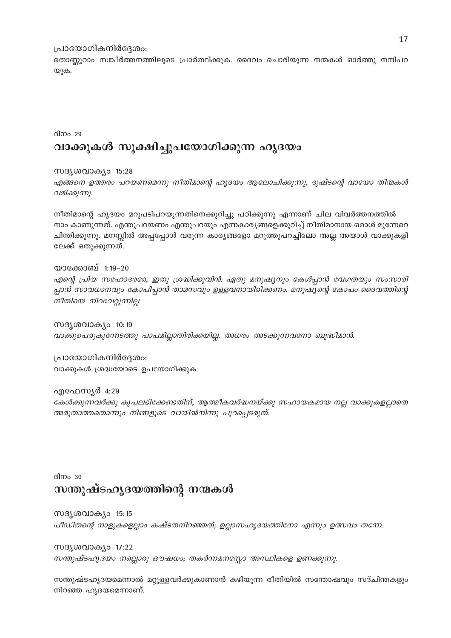#### പ്രായോഗികനിർദ്ദേശം:

തൊണ്ണൂറാം സങ്കീർത്തനത്തിലൂടെ പ്രാർത്ഥിക്കുക. ദൈവം ചൊരിയുന്ന നന്മകൾ ഓർത്തു നന്ദിപറ യുക.

ദിനം 29

# വാക്കുകൾ സൂക്ഷിച്ചുപയോഗിക്കുന്ന ഹൃദയം

സദൃശവാക്യം 15:28

എങ്ങനെ ഉത്തരം പറയണമെന്നു നീതിമാന്റെ ഹൃദയം ആലോചിക്കുന്നു, ദുഷ്ടന്റെ വായോ തിന്മകൾ വമിക്കുന്നു.

നീതിമാന്റെ ഹൃദയം മറുപടിപറയുന്നതിനെക്കുറിച്ചു പഠിക്കുന്നു എന്നാണ് ചില വിവർത്തനത്തിൽ നാം കാണുന്നത്. എന്തുപറയണം എന്തുപറയും എന്നകാര്യങ്ങളെക്കുറിച്ച് നീതിമാനായ ഒരാൾ മുന്നേറെ ചിന്തിക്കുന്നു. മനസ്സിൽ അപ്പപ്പോൾ വരുന്ന കാര്യങ്ങളോ മറുത്തുപറച്ചിലോ അല്ല അയാൾ വാക്കുകളി ലേക്ക് ഒതുക്കുന്നത്.

യാക്കോബ് 1:19-20 എന്റെ പ്രിയ സഹോദരരേ, ഇതു ശ്രദ്ധിക്കുവിൻ: ഏതു മനുഷ്യനും കേൾപ്പാൻ വേഗതയും സംസാരി പ്പാൻ സാവധാനവും കോപിപ്പാൻ താമസവും ഉള്ളവനായിരിക്കണം. മനുഷ്യന്റെ കോപം ദൈവത്തിന്റെ നീതിയെ നിറവേറ്റുന്നില്ല.

സദൃശവാക്യം 10:19 വാക്കുപെരുകുന്നേടത്തു പാപമില്ലാതിരിക്കയില്ല. അധരം അടക്കുന്നവനോ ബുദ്ധിമാൻ.

പ്രായോഗികനിർദ്ദേശം: വാക്കുകൾ ശ്രദ്ധയോടെ ഉപയോഗിക്കുക.

എഫേസ്യർ 4:29 കേൾക്കുന്നവർക്കു കൃപലഭിക്കേണ്ടതിന്, ആത്മീകവർദ്ധനയ്ക്കു സഹായകമായ നല്ല വാക്കുകളല്ലാതെ അരുതാത്തതൊന്നും നിങ്ങളുടെ വായിൽനിന്നു പുറപ്പെടരുത്.

# ദിനം  $30$ സന്തുഷ്ടഹൃദയത്തിന്റെ നന്മകൾ

സദൃശവാക്യം 15:15 പീഡിതന്റെ നാളുകളെല്ലാം കഷ്ടതനിറഞ്ഞത്; ഉല്ലാസഹൃദയത്തിനോ എന്നും ഉത്സവം തന്നേ.

സദൃശവാക്യം 17:22 സന്തുഷ്ടഹൃദയം നല്ലൊരു ഔഷധം; തകർന്നമനസ്സോ അസ്ഥികളെ ഉണക്കുന്നു.

സന്തുഷ്ടഹൃദയമെന്നാൽ മറ്റുള്ളവർക്കുകാണാൻ കഴിയുന്ന രീതിയിൽ സന്തോഷവും സദ്ചിന്തകളും നിറഞ്ഞ ഹൃദയമെന്നാണ്.